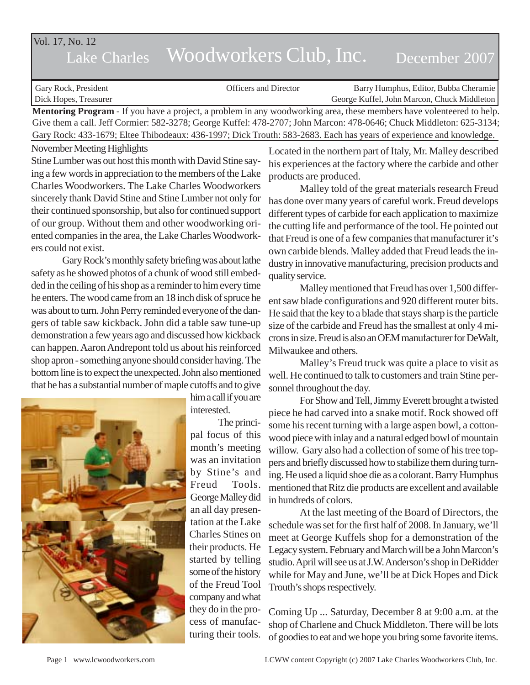# Lake Charles Woodworkers Club, Inc. December 2007 Vol. 17, No. 12

| Gary Rock, President                                                                                                         | <b>Officers and Director</b>                                                                                         | Barry Humphus, Editor, Bubba Cheramie       |
|------------------------------------------------------------------------------------------------------------------------------|----------------------------------------------------------------------------------------------------------------------|---------------------------------------------|
| Dick Hopes, Treasurer                                                                                                        |                                                                                                                      | George Kuffel, John Marcon, Chuck Middleton |
| <b>Mentoring Program</b> - If you have a project, a problem in any woodworking area, these members have volenteered to help. |                                                                                                                      |                                             |
|                                                                                                                              | Give them a call. Jeff Cormier: 582-3278; George Kuffel: 478-2707; John Marcon: 478-0646; Chuck Middleton: 625-3134; |                                             |

November Meeting Highlights Gary Rock: 433-1679; Eltee Thibodeaux: 436-1997; Dick Trouth: 583-2683. Each has years of experience and knowledge.

Stine Lumber was out host this month with David Stine saying a few words in appreciation to the members of the Lake Charles Woodworkers. The Lake Charles Woodworkers sincerely thank David Stine and Stine Lumber not only for their continued sponsorship, but also for continued support of our group. Without them and other woodworking oriented companies in the area, the Lake Charles Woodworkers could not exist.

Gary Rock's monthly safety briefing was about lathe safety as he showed photos of a chunk of wood still embedded in the ceiling of his shop as a reminder to him every time he enters. The wood came from an 18 inch disk of spruce he was about to turn. John Perry reminded everyone of the dangers of table saw kickback. John did a table saw tune-up demonstration a few years ago and discussed how kickback can happen. Aaron Andrepont told us about his reinforced shop apron - something anyone should consider having. The bottom line is to expect the unexpected. John also mentioned that he has a substantial number of maple cutoffs and to give



him a call if you are interested.

The principal focus of this month's meeting was an invitation by Stine's and Freud Tools. George Malley did an all day presentation at the Lake Charles Stines on their products. He started by telling some of the history of the Freud Tool company and what they do in the process of manufacturing their tools. Located in the northern part of Italy, Mr. Malley described his experiences at the factory where the carbide and other products are produced.

Malley told of the great materials research Freud has done over many years of careful work. Freud develops different types of carbide for each application to maximize the cutting life and performance of the tool. He pointed out that Freud is one of a few companies that manufacturer it's own carbide blends. Malley added that Freud leads the industry in innovative manufacturing, precision products and quality service.

Malley mentioned that Freud has over 1,500 different saw blade configurations and 920 different router bits. He said that the key to a blade that stays sharp is the particle size of the carbide and Freud has the smallest at only 4 microns in size. Freud is also an OEM manufacturer for DeWalt, Milwaukee and others.

Malley's Freud truck was quite a place to visit as well. He continued to talk to customers and train Stine personnel throughout the day.

For Show and Tell, Jimmy Everett brought a twisted piece he had carved into a snake motif. Rock showed off some his recent turning with a large aspen bowl, a cottonwood piece with inlay and a natural edged bowl of mountain willow. Gary also had a collection of some of his tree toppers and briefly discussed how to stabilize them during turning. He used a liquid shoe die as a colorant. Barry Humphus mentioned that Ritz die products are excellent and available in hundreds of colors.

At the last meeting of the Board of Directors, the schedule was set for the first half of 2008. In January, we'll meet at George Kuffels shop for a demonstration of the Legacy system. February and March will be a John Marcon's studio. April will see us at J.W. Anderson's shop in DeRidder while for May and June, we'll be at Dick Hopes and Dick Trouth's shops respectively.

Coming Up ... Saturday, December 8 at 9:00 a.m. at the shop of Charlene and Chuck Middleton. There will be lots of goodies to eat and we hope you bring some favorite items.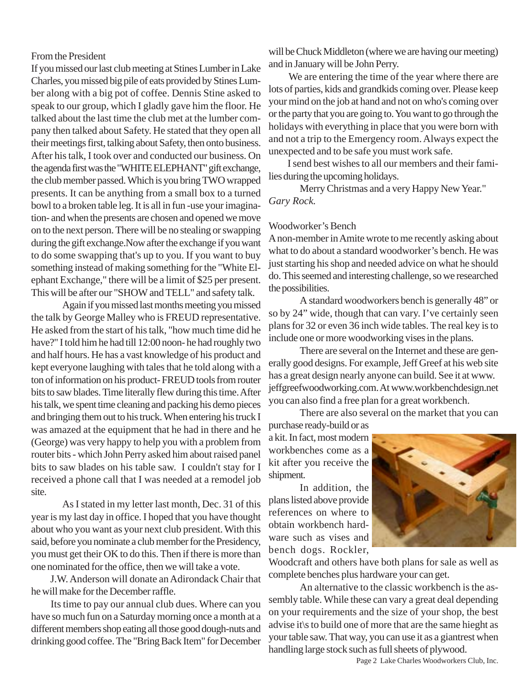### From the President

If you missed our last club meeting at Stines Lumber in Lake Charles, you missed big pile of eats provided by Stines Lumber along with a big pot of coffee. Dennis Stine asked to speak to our group, which I gladly gave him the floor. He talked about the last time the club met at the lumber company then talked about Safety. He stated that they open all their meetings first, talking about Safety, then onto business. After his talk, I took over and conducted our business. On the agenda first was the "WHITE ELEPHANT" gift exchange, the club member passed. Which is you bring TWO wrapped presents. It can be anything from a small box to a turned bowl to a broken table leg. It is all in fun -use your imagination- and when the presents are chosen and opened we move on to the next person. There will be no stealing or swapping during the gift exchange.Now after the exchange if you want to do some swapping that's up to you. If you want to buy something instead of making something for the "White Elephant Exchange," there will be a limit of \$25 per present. This will be after our "SHOW and TELL" and safety talk.

Again if you missed last months meeting you missed the talk by George Malley who is FREUD representative. He asked from the start of his talk, "how much time did he have?" I told him he had till 12:00 noon- he had roughly two and half hours. He has a vast knowledge of his product and kept everyone laughing with tales that he told along with a ton of information on his product- FREUD tools from router bits to saw blades. Time literally flew during this time. After his talk, we spent time cleaning and packing his demo pieces and bringing them out to his truck. When entering his truck I was amazed at the equipment that he had in there and he (George) was very happy to help you with a problem from router bits - which John Perry asked him about raised panel bits to saw blades on his table saw. I couldn't stay for I received a phone call that I was needed at a remodel job site.

As I stated in my letter last month, Dec. 31 of this year is my last day in office. I hoped that you have thought about who you want as your next club president. With this said, before you nominate a club member for the Presidency, you must get their OK to do this. Then if there is more than one nominated for the office, then we will take a vote.

 J.W. Anderson will donate an Adirondack Chair that he will make for the December raffle.

 Its time to pay our annual club dues. Where can you have so much fun on a Saturday morning once a month at a different members shop eating all those good dough-nuts and drinking good coffee. The "Bring Back Item" for December will be Chuck Middleton (where we are having our meeting) and in January will be John Perry.

 We are entering the time of the year where there are lots of parties, kids and grandkids coming over. Please keep your mind on the job at hand and not on who's coming over or the party that you are going to. You want to go through the holidays with everything in place that you were born with and not a trip to the Emergency room. Always expect the unexpected and to be safe you must work safe.

 I send best wishes to all our members and their families during the upcoming holidays.

Merry Christmas and a very Happy New Year." *Gary Rock.*

#### Woodworker's Bench

A non-member in Amite wrote to me recently asking about what to do about a standard woodworker's bench. He was just starting his shop and needed advice on what he should do. This seemed and interesting challenge, so we researched the possibilities.

A standard woodworkers bench is generally 48" or so by 24" wide, though that can vary. I've certainly seen plans for 32 or even 36 inch wide tables. The real key is to include one or more woodworking vises in the plans.

There are several on the Internet and these are generally good designs. For example, Jeff Greef at his web site has a great design nearly anyone can build. See it at www. jeffgreefwoodworking.com. At www.workbenchdesign.net you can also find a free plan for a great workbench.

There are also several on the market that you can

purchase ready-build or as a kit. In fact, most modern workbenches come as a kit after you receive the shipment.

In addition, the plans listed above provide references on where to obtain workbench hardware such as vises and bench dogs. Rockler,



Woodcraft and others have both plans for sale as well as complete benches plus hardware your can get.

An alternative to the classic workbench is the assembly table. While these can vary a great deal depending on your requirements and the size of your shop, the best advise it\s to build one of more that are the same hieght as your table saw. That way, you can use it as a giantrest when handling large stock such as full sheets of plywood.